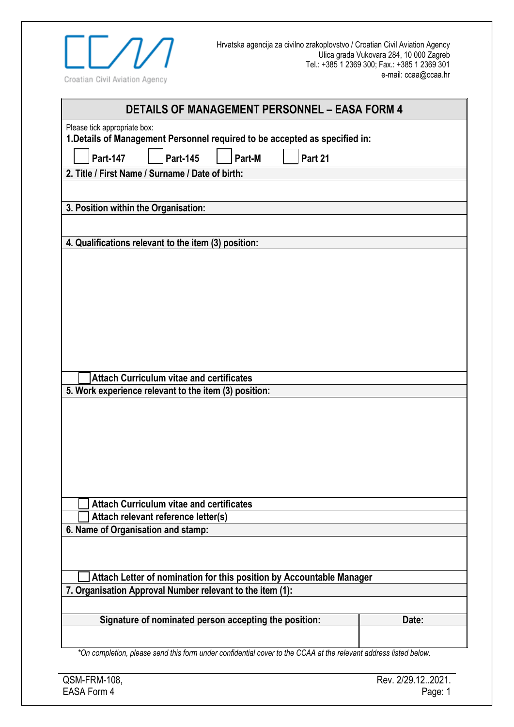

| <b>DETAILS OF MANAGEMENT PERSONNEL - EASA FORM 4</b>                                                             |  |  |
|------------------------------------------------------------------------------------------------------------------|--|--|
| Please tick appropriate box:<br>1. Details of Management Personnel required to be accepted as specified in:      |  |  |
| <b>Part-145</b><br>Part 21<br><b>Part-147</b><br>Part-M                                                          |  |  |
| 2. Title / First Name / Surname / Date of birth:                                                                 |  |  |
|                                                                                                                  |  |  |
| 3. Position within the Organisation:                                                                             |  |  |
|                                                                                                                  |  |  |
| 4. Qualifications relevant to the item (3) position:                                                             |  |  |
|                                                                                                                  |  |  |
|                                                                                                                  |  |  |
|                                                                                                                  |  |  |
|                                                                                                                  |  |  |
|                                                                                                                  |  |  |
|                                                                                                                  |  |  |
|                                                                                                                  |  |  |
| <b>Attach Curriculum vitae and certificates</b>                                                                  |  |  |
| 5. Work experience relevant to the item (3) position:                                                            |  |  |
|                                                                                                                  |  |  |
|                                                                                                                  |  |  |
|                                                                                                                  |  |  |
|                                                                                                                  |  |  |
|                                                                                                                  |  |  |
|                                                                                                                  |  |  |
| <b>Attach Curriculum vitae and certificates</b>                                                                  |  |  |
| Attach relevant reference letter(s)                                                                              |  |  |
| 6. Name of Organisation and stamp:                                                                               |  |  |
|                                                                                                                  |  |  |
| Attach Letter of nomination for this position by Accountable Manager                                             |  |  |
| 7. Organisation Approval Number relevant to the item (1):                                                        |  |  |
|                                                                                                                  |  |  |
| Signature of nominated person accepting the position:<br>Date:                                                   |  |  |
|                                                                                                                  |  |  |
| *On completion, please send this form under confidential cover to the CCAA at the relevant address listed below. |  |  |